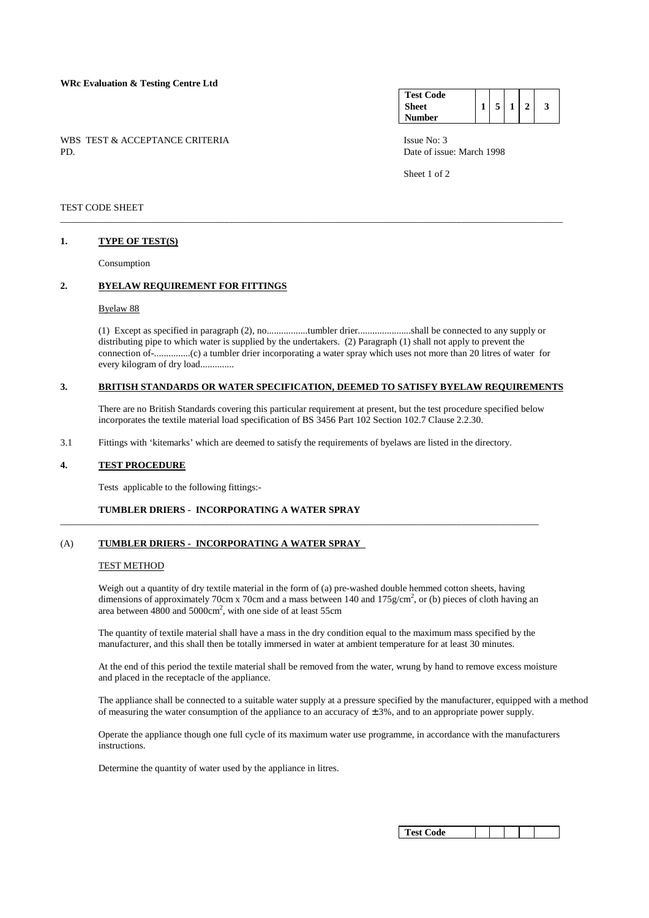## **WRc Evaluation & Testing Centre Ltd**

WBS TEST & ACCEPTANCE CRITERIA Issue No: 3<br>PD Date of issue

| <b>Test Code</b> |   |  |   |
|------------------|---|--|---|
| <b>Sheet</b>     | 5 |  | 3 |
| Number           |   |  |   |

Date of issue: March 1998

Sheet 1 of 2

## TEST CODE SHEET

#### **1. TYPE OF TEST(S)**

Consumption

# **2. BYELAW REQUIREMENT FOR FITTINGS**

#### Byelaw 88

 (1) Except as specified in paragraph (2), no.................tumbler drier......................shall be connected to any supply or distributing pipe to which water is supplied by the undertakers. (2) Paragraph (1) shall not apply to prevent the connection of-...............(c) a tumbler drier incorporating a water spray which uses not more than 20 litres of water for every kilogram of dry load..............

## **3. BRITISH STANDARDS OR WATER SPECIFICATION, DEEMED TO SATISFY BYELAW REQUIREMENTS**

\_\_\_\_\_\_\_\_\_\_\_\_\_\_\_\_\_\_\_\_\_\_\_\_\_\_\_\_\_\_\_\_\_\_\_\_\_\_\_\_\_\_\_\_\_\_\_\_\_\_\_\_\_\_\_\_\_\_\_\_\_\_\_\_\_\_\_\_\_\_\_\_\_\_\_\_\_\_\_\_\_\_\_\_\_\_\_\_\_\_\_\_\_\_\_\_\_\_\_\_\_\_\_\_

 There are no British Standards covering this particular requirement at present, but the test procedure specified below incorporates the textile material load specification of BS 3456 Part 102 Section 102.7 Clause 2.2.30.

3.1 Fittings with 'kitemarks' which are deemed to satisfy the requirements of byelaws are listed in the directory.

\_\_\_\_\_\_\_\_\_\_\_\_\_\_\_\_\_\_\_\_\_\_\_\_\_\_\_\_\_\_\_\_\_\_\_\_\_\_\_\_\_\_\_\_\_\_\_\_\_\_\_\_\_\_\_\_\_\_\_\_\_\_\_\_\_\_\_\_\_\_\_\_\_\_\_\_\_\_\_\_\_\_\_\_\_\_\_\_\_\_\_\_\_\_\_\_\_\_\_

### **4. TEST PROCEDURE**

Tests applicable to the following fittings:-

## **TUMBLER DRIERS - INCORPORATING A WATER SPRAY**

## (A) **TUMBLER DRIERS - INCORPORATING A WATER SPRAY**

#### TEST METHOD

 Weigh out a quantity of dry textile material in the form of (a) pre-washed double hemmed cotton sheets, having dimensions of approximately 70cm x 70cm and a mass between 140 and 175 $g/cm^2$ , or (b) pieces of cloth having an area between  $4800$  and  $5000 \text{cm}^2$ , with one side of at least 55cm

 The quantity of textile material shall have a mass in the dry condition equal to the maximum mass specified by the manufacturer, and this shall then be totally immersed in water at ambient temperature for at least 30 minutes.

 At the end of this period the textile material shall be removed from the water, wrung by hand to remove excess moisture and placed in the receptacle of the appliance.

 The appliance shall be connected to a suitable water supply at a pressure specified by the manufacturer, equipped with a method of measuring the water consumption of the appliance to an accuracy of  $\pm 3\%$ , and to an appropriate power supply.

 Operate the appliance though one full cycle of its maximum water use programme, in accordance with the manufacturers instructions.

Determine the quantity of water used by the appliance in litres.

| <b>Test Code</b> |  |  |  |  |  |
|------------------|--|--|--|--|--|
|------------------|--|--|--|--|--|